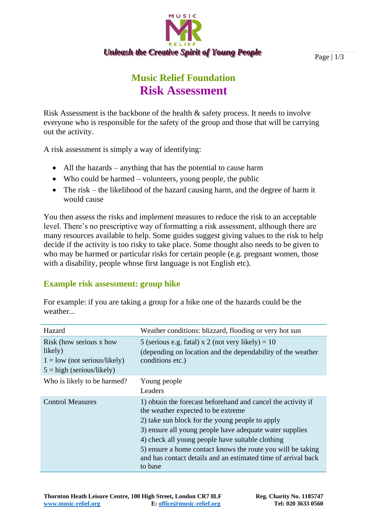

Page | 1/3

## **Music Relief Foundation Risk Assessment**

Risk Assessment is the backbone of the health & safety process. It needs to involve everyone who is responsible for the safety of the group and those that will be carrying out the activity.

A risk assessment is simply a way of identifying:

- All the hazards anything that has the potential to cause harm
- Who could be harmed volunteers, young people, the public
- The risk the likelihood of the hazard causing harm, and the degree of harm it would cause

You then assess the risks and implement measures to reduce the risk to an acceptable level. There's no prescriptive way of formatting a risk assessment, although there are many resources available to help. Some guides suggest giving values to the risk to help decide if the activity is too risky to take place. Some thought also needs to be given to who may be harmed or particular risks for certain people (e.g. pregnant women, those with a disability, people whose first language is not English etc).

## **Example risk assessment: group hike**

| Hazard                                                                                              | Weather conditions: blizzard, flooding or very hot sun                                                                                                                                                                                                                                                                                                                                                           |
|-----------------------------------------------------------------------------------------------------|------------------------------------------------------------------------------------------------------------------------------------------------------------------------------------------------------------------------------------------------------------------------------------------------------------------------------------------------------------------------------------------------------------------|
| Risk (how serious x how<br>likely)<br>$1 =$ low (not serious/likely)<br>$5 = high$ (serious/likely) | 5 (serious e.g. fatal) x 2 (not very likely) = $10$<br>(depending on location and the dependability of the weather<br>conditions etc.)                                                                                                                                                                                                                                                                           |
| Who is likely to be harmed?                                                                         | Young people<br>Leaders                                                                                                                                                                                                                                                                                                                                                                                          |
| <b>Control Measures</b>                                                                             | 1) obtain the forecast beforehand and cancel the activity if<br>the weather expected to be extreme.<br>2) take sun block for the young people to apply<br>3) ensure all young people have adequate water supplies<br>4) check all young people have suitable clothing<br>5) ensure a home contact knows the route you will be taking<br>and has contact details and an estimated time of arrival back<br>to base |

For example: if you are taking a group for a hike one of the hazards could be the weather...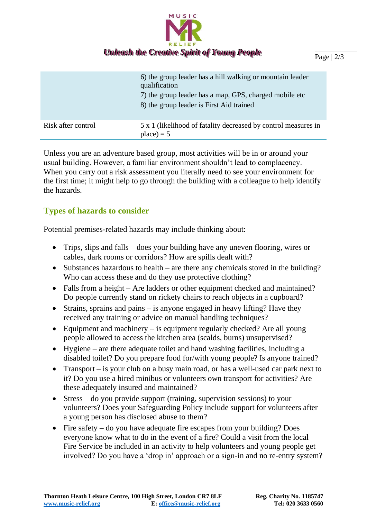

|                    | 6) the group leader has a hill walking or mountain leader<br>qualification<br>7) the group leader has a map, GPS, charged mobile etc<br>8) the group leader is First Aid trained |
|--------------------|----------------------------------------------------------------------------------------------------------------------------------------------------------------------------------|
| Risk after control | 5 x 1 (likelihood of fatality decreased by control measures in<br>$place) = 5$                                                                                                   |

Unless you are an adventure based group, most activities will be in or around your usual building. However, a familiar environment shouldn't lead to complacency. When you carry out a risk assessment you literally need to see your environment for the first time; it might help to go through the building with a colleague to help identify the hazards.

## **Types of hazards to consider**

Potential premises-related hazards may include thinking about:

- Trips, slips and falls does your building have any uneven flooring, wires or cables, dark rooms or corridors? How are spills dealt with?
- Substances hazardous to health are there any chemicals stored in the building? Who can access these and do they use protective clothing?
- Falls from a height Are ladders or other equipment checked and maintained? Do people currently stand on rickety chairs to reach objects in a cupboard?
- Strains, sprains and pains is anyone engaged in heavy lifting? Have they received any training or advice on manual handling techniques?
- Equipment and machinery is equipment regularly checked? Are all young people allowed to access the kitchen area (scalds, burns) unsupervised?
- Hygiene are there adequate toilet and hand washing facilities, including a disabled toilet? Do you prepare food for/with young people? Is anyone trained?
- Transport is your club on a busy main road, or has a well-used car park next to it? Do you use a hired minibus or volunteers own transport for activities? Are these adequately insured and maintained?
- Stress do you provide support (training, supervision sessions) to your volunteers? Does your Safeguarding Policy include support for volunteers after a young person has disclosed abuse to them?
- Fire safety do you have adequate fire escapes from your building? Does everyone know what to do in the event of a fire? Could a visit from the local Fire Service be included in an activity to help volunteers and young people get involved? Do you have a 'drop in' approach or a sign-in and no re-entry system?